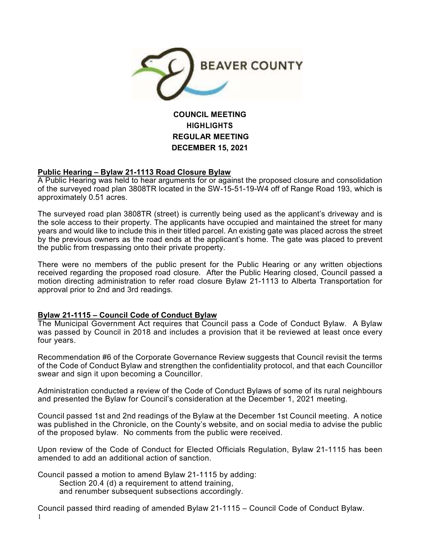

# **COUNCIL MEETING HIGHLIGHTS REGULAR MEETING DECEMBER 15, 2021**

## **Public Hearing – Bylaw 21-1113 Road Closure Bylaw**

A Public Hearing was held to hear arguments for or against the proposed closure and consolidation of the surveyed road plan 3808TR located in the SW-15-51-19-W4 off of Range Road 193, which is approximately 0.51 acres.

The surveyed road plan 3808TR (street) is currently being used as the applicant's driveway and is the sole access to their property. The applicants have occupied and maintained the street for many years and would like to include this in their titled parcel. An existing gate was placed across the street by the previous owners as the road ends at the applicant's home. The gate was placed to prevent the public from trespassing onto their private property.

There were no members of the public present for the Public Hearing or any written objections received regarding the proposed road closure. After the Public Hearing closed, Council passed a motion directing administration to refer road closure Bylaw 21-1113 to Alberta Transportation for approval prior to 2nd and 3rd readings.

#### **Bylaw 21-1115 – Council Code of Conduct Bylaw**

The Municipal Government Act requires that Council pass a Code of Conduct Bylaw. A Bylaw was passed by Council in 2018 and includes a provision that it be reviewed at least once every four years.

Recommendation #6 of the Corporate Governance Review suggests that Council revisit the terms of the Code of Conduct Bylaw and strengthen the confidentiality protocol, and that each Councillor swear and sign it upon becoming a Councillor.

Administration conducted a review of the Code of Conduct Bylaws of some of its rural neighbours and presented the Bylaw for Council's consideration at the December 1, 2021 meeting.

Council passed 1st and 2nd readings of the Bylaw at the December 1st Council meeting. A notice was published in the Chronicle, on the County's website, and on social media to advise the public of the proposed bylaw. No comments from the public were received.

Upon review of the Code of Conduct for Elected Officials Regulation, Bylaw 21-1115 has been amended to add an additional action of sanction.

Council passed a motion to amend Bylaw 21-1115 by adding: Section 20.4 (d) a requirement to attend training, and renumber subsequent subsections accordingly.

1 Council passed third reading of amended Bylaw 21-1115 – Council Code of Conduct Bylaw.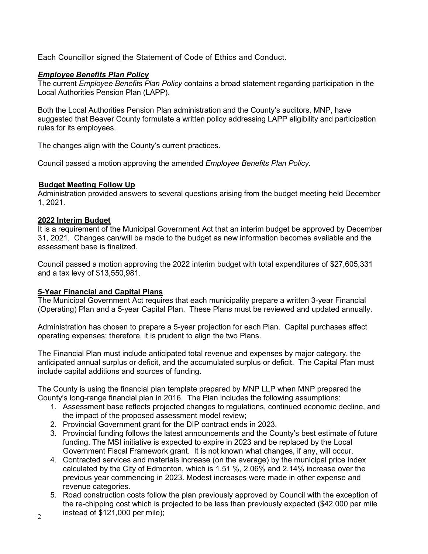Each Councillor signed the Statement of Code of Ethics and Conduct.

# *Employee Benefits Plan Policy*

The current *Employee Benefits Plan Policy* contains a broad statement regarding participation in the Local Authorities Pension Plan (LAPP).

Both the Local Authorities Pension Plan administration and the County's auditors, MNP, have suggested that Beaver County formulate a written policy addressing LAPP eligibility and participation rules for its employees.

The changes align with the County's current practices.

Council passed a motion approving the amended *Employee Benefits Plan Policy.* 

## **Budget Meeting Follow Up**

Administration provided answers to several questions arising from the budget meeting held December 1, 2021.

#### **2022 Interim Budget**

It is a requirement of the Municipal Government Act that an interim budget be approved by December 31, 2021. Changes can/will be made to the budget as new information becomes available and the assessment base is finalized.

Council passed a motion approving the 2022 interim budget with total expenditures of \$27,605,331 and a tax levy of \$13,550,981.

## **5-Year Financial and Capital Plans**

The Municipal Government Act requires that each municipality prepare a written 3-year Financial (Operating) Plan and a 5-year Capital Plan. These Plans must be reviewed and updated annually.

Administration has chosen to prepare a 5-year projection for each Plan. Capital purchases affect operating expenses; therefore, it is prudent to align the two Plans.

The Financial Plan must include anticipated total revenue and expenses by major category, the anticipated annual surplus or deficit, and the accumulated surplus or deficit. The Capital Plan must include capital additions and sources of funding.

The County is using the financial plan template prepared by MNP LLP when MNP prepared the County's long-range financial plan in 2016. The Plan includes the following assumptions:

- 1. Assessment base reflects projected changes to regulations, continued economic decline, and the impact of the proposed assessment model review;
- 2. Provincial Government grant for the DIP contract ends in 2023.
- 3. Provincial funding follows the latest announcements and the County's best estimate of future funding. The MSI initiative is expected to expire in 2023 and be replaced by the Local Government Fiscal Framework grant. It is not known what changes, if any, will occur.
- 4. Contracted services and materials increase (on the average) by the municipal price index calculated by the City of Edmonton, which is 1.51 %, 2.06% and 2.14% increase over the previous year commencing in 2023. Modest increases were made in other expense and revenue categories.
- 5. Road construction costs follow the plan previously approved by Council with the exception of the re-chipping cost which is projected to be less than previously expected (\$42,000 per mile instead of \$121,000 per mile);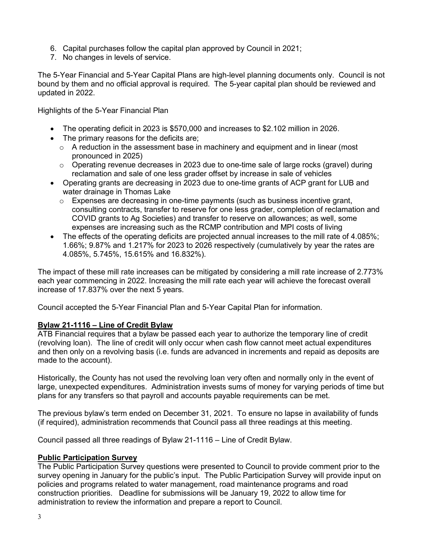- 6. Capital purchases follow the capital plan approved by Council in 2021;
- 7. No changes in levels of service.

The 5-Year Financial and 5-Year Capital Plans are high-level planning documents only. Council is not bound by them and no official approval is required. The 5-year capital plan should be reviewed and updated in 2022.

Highlights of the 5-Year Financial Plan

- The operating deficit in 2023 is \$570,000 and increases to \$2.102 million in 2026.
- The primary reasons for the deficits are;
	- $\circ$  A reduction in the assessment base in machinery and equipment and in linear (most pronounced in 2025)
	- $\circ$  Operating revenue decreases in 2023 due to one-time sale of large rocks (gravel) during reclamation and sale of one less grader offset by increase in sale of vehicles
- Operating grants are decreasing in 2023 due to one-time grants of ACP grant for LUB and water drainage in Thomas Lake
	- $\circ$  Expenses are decreasing in one-time payments (such as business incentive grant, consulting contracts, transfer to reserve for one less grader, completion of reclamation and COVID grants to Ag Societies) and transfer to reserve on allowances; as well, some expenses are increasing such as the RCMP contribution and MPI costs of living
- The effects of the operating deficits are projected annual increases to the mill rate of 4.085%; 1.66%; 9.87% and 1.217% for 2023 to 2026 respectively (cumulatively by year the rates are 4.085%, 5.745%, 15.615% and 16.832%).

The impact of these mill rate increases can be mitigated by considering a mill rate increase of 2.773% each year commencing in 2022. Increasing the mill rate each year will achieve the forecast overall increase of 17.837% over the next 5 years.

Council accepted the 5-Year Financial Plan and 5-Year Capital Plan for information.

## **Bylaw 21-1116 – Line of Credit Bylaw**

ATB Financial requires that a bylaw be passed each year to authorize the temporary line of credit (revolving loan). The line of credit will only occur when cash flow cannot meet actual expenditures and then only on a revolving basis (i.e. funds are advanced in increments and repaid as deposits are made to the account).

Historically, the County has not used the revolving loan very often and normally only in the event of large, unexpected expenditures. Administration invests sums of money for varying periods of time but plans for any transfers so that payroll and accounts payable requirements can be met.

The previous bylaw's term ended on December 31, 2021. To ensure no lapse in availability of funds (if required), administration recommends that Council pass all three readings at this meeting.

Council passed all three readings of Bylaw 21-1116 – Line of Credit Bylaw.

## **Public Participation Survey**

The Public Participation Survey questions were presented to Council to provide comment prior to the survey opening in January for the public's input. The Public Participation Survey will provide input on policies and programs related to water management, road maintenance programs and road construction priorities. Deadline for submissions will be January 19, 2022 to allow time for administration to review the information and prepare a report to Council.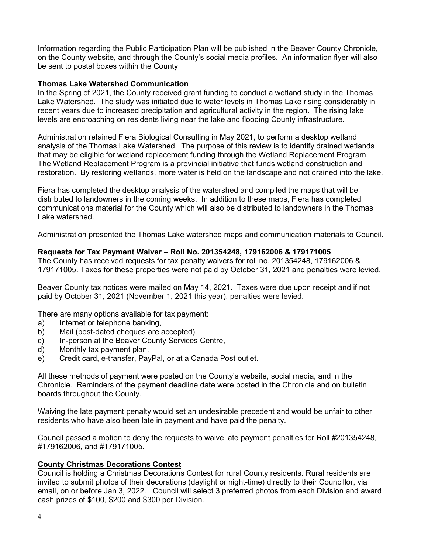Information regarding the Public Participation Plan will be published in the Beaver County Chronicle, on the County website, and through the County's social media profiles. An information flyer will also be sent to postal boxes within the County

#### **Thomas Lake Watershed Communication**

In the Spring of 2021, the County received grant funding to conduct a wetland study in the Thomas Lake Watershed. The study was initiated due to water levels in Thomas Lake rising considerably in recent years due to increased precipitation and agricultural activity in the region. The rising lake levels are encroaching on residents living near the lake and flooding County infrastructure.

Administration retained Fiera Biological Consulting in May 2021, to perform a desktop wetland analysis of the Thomas Lake Watershed. The purpose of this review is to identify drained wetlands that may be eligible for wetland replacement funding through the Wetland Replacement Program. The Wetland Replacement Program is a provincial initiative that funds wetland construction and restoration. By restoring wetlands, more water is held on the landscape and not drained into the lake.

Fiera has completed the desktop analysis of the watershed and compiled the maps that will be distributed to landowners in the coming weeks. In addition to these maps, Fiera has completed communications material for the County which will also be distributed to landowners in the Thomas Lake watershed.

Administration presented the Thomas Lake watershed maps and communication materials to Council.

#### **Requests for Tax Payment Waiver – Roll No. 201354248, 179162006 & 179171005**

The County has received requests for tax penalty waivers for roll no. 201354248, 179162006 & 179171005. Taxes for these properties were not paid by October 31, 2021 and penalties were levied.

Beaver County tax notices were mailed on May 14, 2021. Taxes were due upon receipt and if not paid by October 31, 2021 (November 1, 2021 this year), penalties were levied.

There are many options available for tax payment:

- a) Internet or telephone banking,
- b) Mail (post-dated cheques are accepted),
- c) In-person at the Beaver County Services Centre,
- d) Monthly tax payment plan,
- e) Credit card, e-transfer, PayPal, or at a Canada Post outlet.

All these methods of payment were posted on the County's website, social media, and in the Chronicle. Reminders of the payment deadline date were posted in the Chronicle and on bulletin boards throughout the County.

Waiving the late payment penalty would set an undesirable precedent and would be unfair to other residents who have also been late in payment and have paid the penalty.

Council passed a motion to deny the requests to waive late payment penalties for Roll #201354248, #179162006, and #179171005.

#### **County Christmas Decorations Contest**

Council is holding a Christmas Decorations Contest for rural County residents. Rural residents are invited to submit photos of their decorations (daylight or night-time) directly to their Councillor, via email, on or before Jan 3, 2022. Council will select 3 preferred photos from each Division and award cash prizes of \$100, \$200 and \$300 per Division.